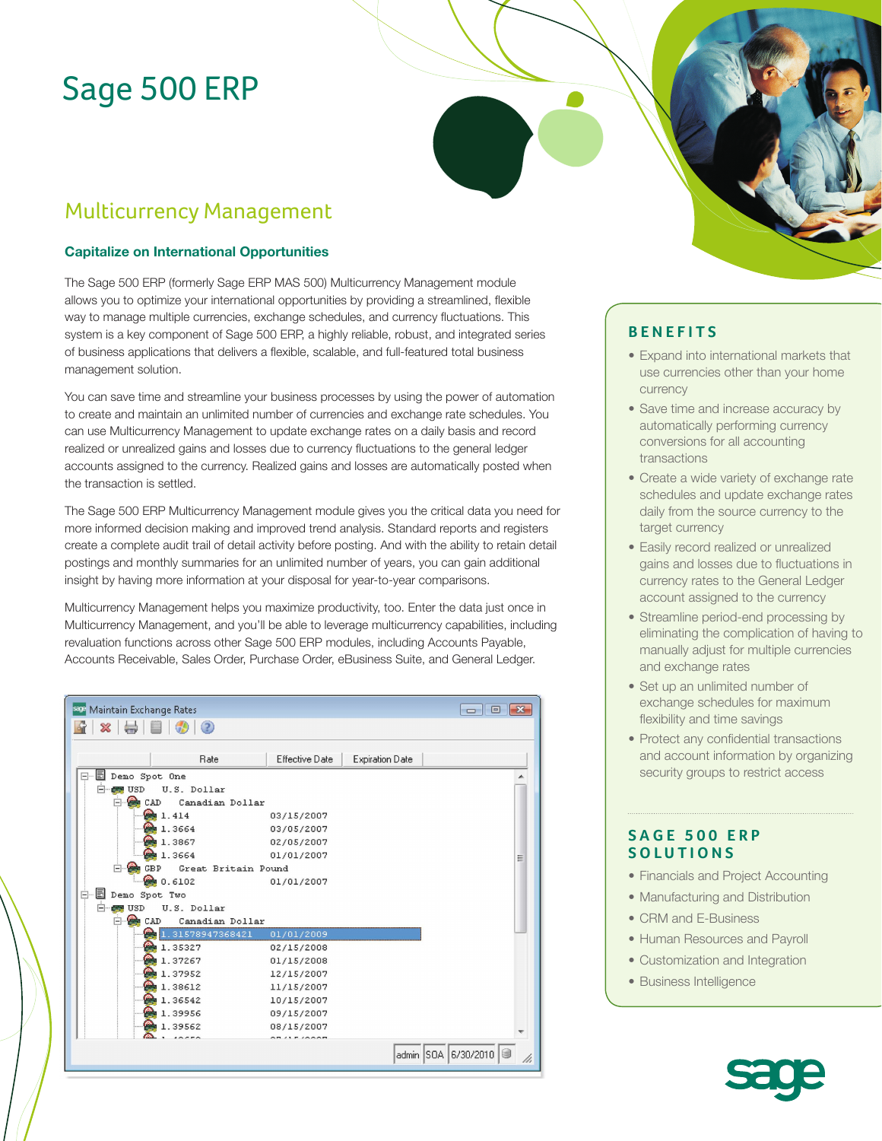# Sage 500 ERP

# Multicurrency Management

#### **Capitalize on International Opportunities**

The Sage 500 ERP (formerly Sage ERP MAS 500) Multicurrency Management module allows you to optimize your international opportunities by providing a streamlined, flexible way to manage multiple currencies, exchange schedules, and currency fluctuations. This system is a key component of Sage 500 ERP, a highly reliable, robust, and integrated series of business applications that delivers a flexible, scalable, and full-featured total business management solution.

You can save time and streamline your business processes by using the power of automation to create and maintain an unlimited number of currencies and exchange rate schedules. You can use Multicurrency Management to update exchange rates on a daily basis and record realized or unrealized gains and losses due to currency fluctuations to the general ledger accounts assigned to the currency. Realized gains and losses are automatically posted when the transaction is settled.

The Sage 500 ERP Multicurrency Management module gives you the critical data you need for more informed decision making and improved trend analysis. Standard reports and registers create a complete audit trail of detail activity before posting. And with the ability to retain detail postings and monthly summaries for an unlimited number of years, you can gain additional insight by having more information at your disposal for year-to-year comparisons.

Multicurrency Management helps you maximize productivity, too. Enter the data just once in Multicurrency Management, and you'll be able to leverage multicurrency capabilities, including revaluation functions across other Sage 500 ERP modules, including Accounts Payable, Accounts Receivable, Sales Order, Purchase Order, eBusiness Suite, and General Ledger.

| See Maintain Exchange Rates                  |                |                        | $\Box$ e $\Box$           |
|----------------------------------------------|----------------|------------------------|---------------------------|
| $\circ$<br>X                                 |                |                        |                           |
|                                              |                |                        |                           |
| Rate                                         | Effective Date | <b>Expiration Date</b> |                           |
| <b>E</b> Demo Spot One<br>E-                 |                |                        |                           |
| 白…<br>U.S. Dollar<br><b>USD</b><br>للمائية ا |                |                        |                           |
| Canadian Dollar<br>CAD                       |                |                        |                           |
| 1.414                                        | 03/15/2007     |                        |                           |
| 1.3664                                       | 03/05/2007     |                        |                           |
| 1.3867                                       | 02/05/2007     |                        |                           |
| 1.3664                                       | 01/01/2007     |                        | Ξ                         |
| <b>GBP</b><br>Great Britain Pound            |                |                        |                           |
| 0.6102                                       | 01/01/2007     |                        |                           |
| <b>E</b> Demo Spot Two<br>Ė-                 |                |                        |                           |
| 白<br>U.S. Dollar<br>USD                      |                |                        |                           |
| œ.<br>CAD<br>Canadian Dollar                 |                |                        |                           |
| 1.31578947368421                             | 01/01/2009     |                        |                           |
| 1.35327                                      | 02/15/2008     |                        |                           |
| 1.37267                                      | 01/15/2008     |                        |                           |
| 1.37952                                      | 12/15/2007     |                        |                           |
| 1.38612                                      | 11/15/2007     |                        |                           |
| 1.36542                                      | 10/15/2007     |                        |                           |
| 1.39956                                      | 09/15/2007     |                        |                           |
| 1.39562                                      | 08/15/2007     |                        |                           |
| 10000                                        | 0.5152000      |                        |                           |
|                                              |                |                        | admin SOA 6/30/2010<br>h, |
|                                              |                |                        |                           |

### **BENEFITS**

- Expand into international markets that use currencies other than your home currency
- Save time and increase accuracy by automatically performing currency conversions for all accounting transactions
- Create a wide variety of exchange rate schedules and update exchange rates daily from the source currency to the target currency
- Easily record realized or unrealized gains and losses due to fluctuations in currency rates to the General Ledger account assigned to the currency
- Streamline period-end processing by eliminating the complication of having to manually adjust for multiple currencies and exchange rates
- Set up an unlimited number of exchange schedules for maximum flexibility and time savings
- Protect any confidential transactions and account information by organizing security groups to restrict access

#### **SAGE 500 ERP SOLUTIONS**

- Financials and Project Accounting
- Manufacturing and Distribution
- CRM and E-Business
- Human Resources and Payroll
- Customization and Integration
- Business Intelligence